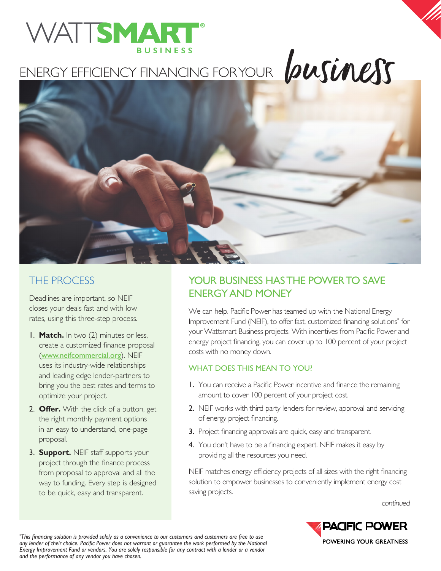

# BUSINESS<br>ENERGY EFFICIENCY FINANCING FOR YOUR DUSINESS



#### THE PROCESS

Deadlines are important, so NEIF closes your deals fast and with low rates, using this three-step process.

- 1. **Match.** In two (2) minutes or less, create a customized finance proposal ([www.neifcommercial.org](http://www.neifcommercial.org)). NEIF uses its industry-wide relationships and leading edge lender-partners to bring you the best rates and terms to optimize your project.
- 2. **Offer.** With the click of a button, get the right monthly payment options in an easy to understand, one-page proposal.
- 3. **Support.** NEIF staff supports your project through the finance process from proposal to approval and all the way to funding. Every step is designed to be quick, easy and transparent.

#### YOUR BUSINESS HAS THE POWER TO SAVE ENERGY AND MONEY

We can help. Pacific Power has teamed up with the National Energy Improvement Fund (NEIF), to offer fast, customized financing solutions\* for your Wattsmart Business projects. With incentives from Pacific Power and energy project financing, you can cover up to 100 percent of your project costs with no money down.

#### WHAT DOES THIS MEAN TO YOU?

- 1. You can receive a Pacific Power incentive and finance the remaining amount to cover 100 percent of your project cost.
- 2. NEIF works with third party lenders for review, approval and servicing of energy project financing.
- 3. Project financing approvals are quick, easy and transparent.
- 4. You don't have to be a financing expert. NEIF makes it easy by providing all the resources you need.

NEIF matches energy efficiency projects of all sizes with the right financing solution to empower businesses to conveniently implement energy cost saving projects.

continued



*\* This financing solution is provided solely as a convenience to our customers and customers are free to use any lender of their choice. Pacific Power does not warrant or guarantee the work performed by the National Energy Improvement Fund or vendors. You are solely responsible for any contract with a lender or a vendor and the performance of any vendor you have chosen.*